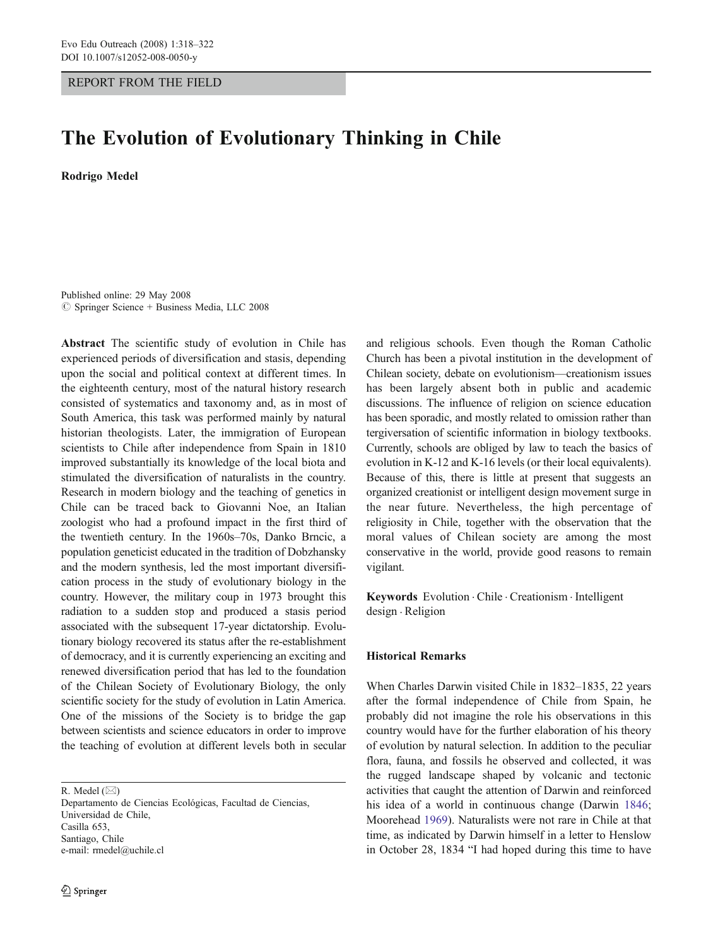## REPORT FROM THE FIELD

# The Evolution of Evolutionary Thinking in Chile

Rodrigo Medel

Published online: 29 May 2008  $\oslash$  Springer Science + Business Media, LLC 2008

Abstract The scientific study of evolution in Chile has experienced periods of diversification and stasis, depending upon the social and political context at different times. In the eighteenth century, most of the natural history research consisted of systematics and taxonomy and, as in most of South America, this task was performed mainly by natural historian theologists. Later, the immigration of European scientists to Chile after independence from Spain in 1810 improved substantially its knowledge of the local biota and stimulated the diversification of naturalists in the country. Research in modern biology and the teaching of genetics in Chile can be traced back to Giovanni Noe, an Italian zoologist who had a profound impact in the first third of the twentieth century. In the 1960s–70s, Danko Brncic, a population geneticist educated in the tradition of Dobzhansky and the modern synthesis, led the most important diversification process in the study of evolutionary biology in the country. However, the military coup in 1973 brought this radiation to a sudden stop and produced a stasis period associated with the subsequent 17-year dictatorship. Evolutionary biology recovered its status after the re-establishment of democracy, and it is currently experiencing an exciting and renewed diversification period that has led to the foundation of the Chilean Society of Evolutionary Biology, the only scientific society for the study of evolution in Latin America. One of the missions of the Society is to bridge the gap between scientists and science educators in order to improve the teaching of evolution at different levels both in secular

R. Medel  $(\boxtimes)$ 

Departamento de Ciencias Ecológicas, Facultad de Ciencias, Universidad de Chile, Casilla 653, Santiago, Chile e-mail: rmedel@uchile.cl

and religious schools. Even though the Roman Catholic Church has been a pivotal institution in the development of Chilean society, debate on evolutionism—creationism issues has been largely absent both in public and academic discussions. The influence of religion on science education has been sporadic, and mostly related to omission rather than tergiversation of scientific information in biology textbooks. Currently, schools are obliged by law to teach the basics of evolution in K-12 and K-16 levels (or their local equivalents). Because of this, there is little at present that suggests an organized creationist or intelligent design movement surge in the near future. Nevertheless, the high percentage of religiosity in Chile, together with the observation that the moral values of Chilean society are among the most conservative in the world, provide good reasons to remain vigilant.

Keywords Evolution . Chile . Creationism . Intelligent design . Religion

### Historical Remarks

When Charles Darwin visited Chile in 1832–1835, 22 years after the formal independence of Chile from Spain, he probably did not imagine the role his observations in this country would have for the further elaboration of his theory of evolution by natural selection. In addition to the peculiar flora, fauna, and fossils he observed and collected, it was the rugged landscape shaped by volcanic and tectonic activities that caught the attention of Darwin and reinforced his idea of a world in continuous change (Darwin [1846;](#page-3-0) Moorehead [1969](#page-4-0)). Naturalists were not rare in Chile at that time, as indicated by Darwin himself in a letter to Henslow in October 28, 1834 "I had hoped during this time to have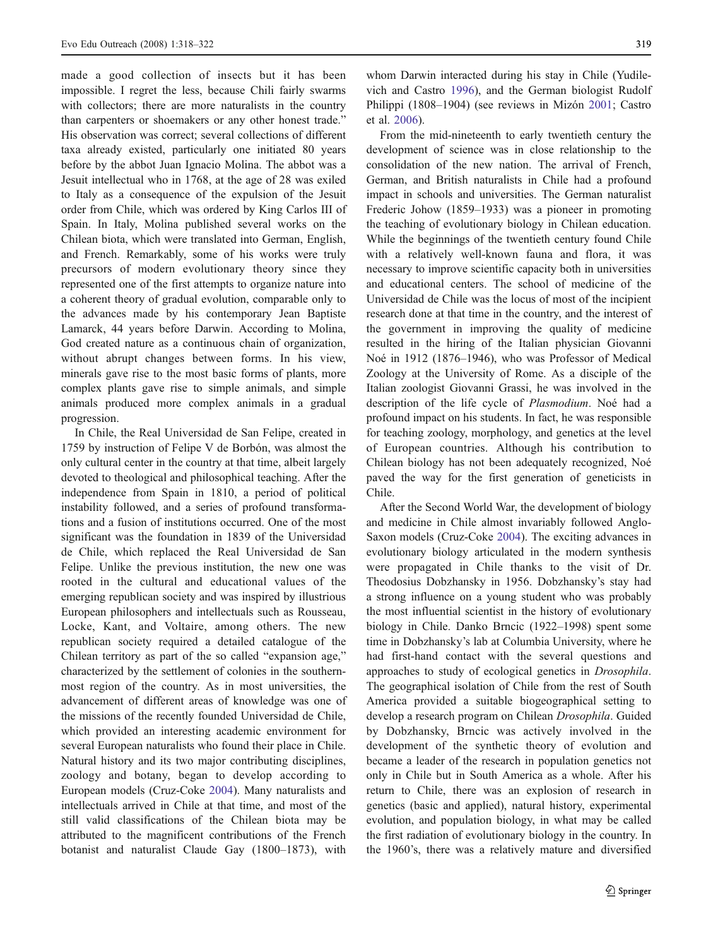made a good collection of insects but it has been impossible. I regret the less, because Chili fairly swarms with collectors; there are more naturalists in the country than carpenters or shoemakers or any other honest trade." His observation was correct; several collections of different taxa already existed, particularly one initiated 80 years before by the abbot Juan Ignacio Molina. The abbot was a Jesuit intellectual who in 1768, at the age of 28 was exiled to Italy as a consequence of the expulsion of the Jesuit order from Chile, which was ordered by King Carlos III of Spain. In Italy, Molina published several works on the Chilean biota, which were translated into German, English, and French. Remarkably, some of his works were truly precursors of modern evolutionary theory since they represented one of the first attempts to organize nature into a coherent theory of gradual evolution, comparable only to the advances made by his contemporary Jean Baptiste Lamarck, 44 years before Darwin. According to Molina, God created nature as a continuous chain of organization, without abrupt changes between forms. In his view, minerals gave rise to the most basic forms of plants, more complex plants gave rise to simple animals, and simple animals produced more complex animals in a gradual progression.

In Chile, the Real Universidad de San Felipe, created in 1759 by instruction of Felipe V de Borbón, was almost the only cultural center in the country at that time, albeit largely devoted to theological and philosophical teaching. After the independence from Spain in 1810, a period of political instability followed, and a series of profound transformations and a fusion of institutions occurred. One of the most significant was the foundation in 1839 of the Universidad de Chile, which replaced the Real Universidad de San Felipe. Unlike the previous institution, the new one was rooted in the cultural and educational values of the emerging republican society and was inspired by illustrious European philosophers and intellectuals such as Rousseau, Locke, Kant, and Voltaire, among others. The new republican society required a detailed catalogue of the Chilean territory as part of the so called "expansion age," characterized by the settlement of colonies in the southernmost region of the country. As in most universities, the advancement of different areas of knowledge was one of the missions of the recently founded Universidad de Chile, which provided an interesting academic environment for several European naturalists who found their place in Chile. Natural history and its two major contributing disciplines, zoology and botany, began to develop according to European models (Cruz-Coke [2004\)](#page-3-0). Many naturalists and intellectuals arrived in Chile at that time, and most of the still valid classifications of the Chilean biota may be attributed to the magnificent contributions of the French botanist and naturalist Claude Gay (1800–1873), with

whom Darwin interacted during his stay in Chile (Yudilevich and Castro [1996](#page-4-0)), and the German biologist Rudolf Philippi (1808–1904) (see reviews in Mizón [2001;](#page-4-0) Castro et al. [2006](#page-3-0)).

From the mid-nineteenth to early twentieth century the development of science was in close relationship to the consolidation of the new nation. The arrival of French, German, and British naturalists in Chile had a profound impact in schools and universities. The German naturalist Frederic Johow (1859–1933) was a pioneer in promoting the teaching of evolutionary biology in Chilean education. While the beginnings of the twentieth century found Chile with a relatively well-known fauna and flora, it was necessary to improve scientific capacity both in universities and educational centers. The school of medicine of the Universidad de Chile was the locus of most of the incipient research done at that time in the country, and the interest of the government in improving the quality of medicine resulted in the hiring of the Italian physician Giovanni Noé in 1912 (1876–1946), who was Professor of Medical Zoology at the University of Rome. As a disciple of the Italian zoologist Giovanni Grassi, he was involved in the description of the life cycle of Plasmodium. Noé had a profound impact on his students. In fact, he was responsible for teaching zoology, morphology, and genetics at the level of European countries. Although his contribution to Chilean biology has not been adequately recognized, Noé paved the way for the first generation of geneticists in Chile.

After the Second World War, the development of biology and medicine in Chile almost invariably followed Anglo-Saxon models (Cruz-Coke [2004](#page-3-0)). The exciting advances in evolutionary biology articulated in the modern synthesis were propagated in Chile thanks to the visit of Dr. Theodosius Dobzhansky in 1956. Dobzhansky's stay had a strong influence on a young student who was probably the most influential scientist in the history of evolutionary biology in Chile. Danko Brncic (1922–1998) spent some time in Dobzhansky's lab at Columbia University, where he had first-hand contact with the several questions and approaches to study of ecological genetics in Drosophila. The geographical isolation of Chile from the rest of South America provided a suitable biogeographical setting to develop a research program on Chilean Drosophila. Guided by Dobzhansky, Brncic was actively involved in the development of the synthetic theory of evolution and became a leader of the research in population genetics not only in Chile but in South America as a whole. After his return to Chile, there was an explosion of research in genetics (basic and applied), natural history, experimental evolution, and population biology, in what may be called the first radiation of evolutionary biology in the country. In the 1960's, there was a relatively mature and diversified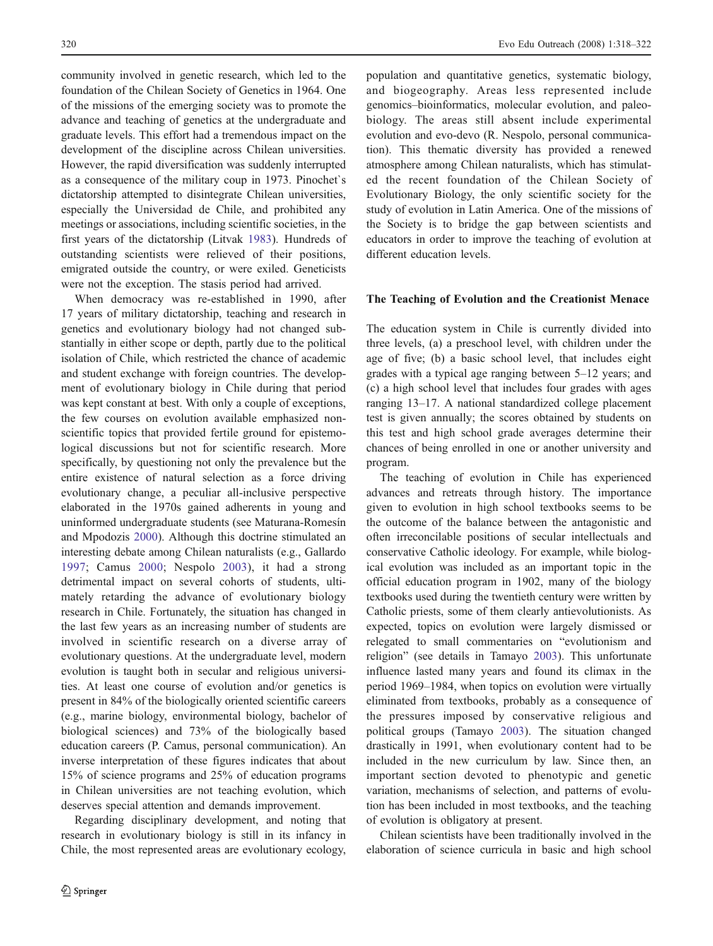community involved in genetic research, which led to the foundation of the Chilean Society of Genetics in 1964. One of the missions of the emerging society was to promote the advance and teaching of genetics at the undergraduate and graduate levels. This effort had a tremendous impact on the development of the discipline across Chilean universities. However, the rapid diversification was suddenly interrupted as a consequence of the military coup in 1973. Pinochet`s dictatorship attempted to disintegrate Chilean universities, especially the Universidad de Chile, and prohibited any meetings or associations, including scientific societies, in the first years of the dictatorship (Litvak [1983](#page-4-0)). Hundreds of outstanding scientists were relieved of their positions, emigrated outside the country, or were exiled. Geneticists were not the exception. The stasis period had arrived.

When democracy was re-established in 1990, after 17 years of military dictatorship, teaching and research in genetics and evolutionary biology had not changed substantially in either scope or depth, partly due to the political isolation of Chile, which restricted the chance of academic and student exchange with foreign countries. The development of evolutionary biology in Chile during that period was kept constant at best. With only a couple of exceptions, the few courses on evolution available emphasized nonscientific topics that provided fertile ground for epistemological discussions but not for scientific research. More specifically, by questioning not only the prevalence but the entire existence of natural selection as a force driving evolutionary change, a peculiar all-inclusive perspective elaborated in the 1970s gained adherents in young and uninformed undergraduate students (see Maturana-Romesín and Mpodozis [2000\)](#page-4-0). Although this doctrine stimulated an interesting debate among Chilean naturalists (e.g., Gallardo [1997;](#page-4-0) Camus [2000](#page-3-0); Nespolo [2003\)](#page-4-0), it had a strong detrimental impact on several cohorts of students, ultimately retarding the advance of evolutionary biology research in Chile. Fortunately, the situation has changed in the last few years as an increasing number of students are involved in scientific research on a diverse array of evolutionary questions. At the undergraduate level, modern evolution is taught both in secular and religious universities. At least one course of evolution and/or genetics is present in 84% of the biologically oriented scientific careers (e.g., marine biology, environmental biology, bachelor of biological sciences) and 73% of the biologically based education careers (P. Camus, personal communication). An inverse interpretation of these figures indicates that about 15% of science programs and 25% of education programs in Chilean universities are not teaching evolution, which deserves special attention and demands improvement.

Regarding disciplinary development, and noting that research in evolutionary biology is still in its infancy in Chile, the most represented areas are evolutionary ecology, population and quantitative genetics, systematic biology, and biogeography. Areas less represented include genomics–bioinformatics, molecular evolution, and paleobiology. The areas still absent include experimental evolution and evo-devo (R. Nespolo, personal communication). This thematic diversity has provided a renewed atmosphere among Chilean naturalists, which has stimulated the recent foundation of the Chilean Society of Evolutionary Biology, the only scientific society for the study of evolution in Latin America. One of the missions of the Society is to bridge the gap between scientists and educators in order to improve the teaching of evolution at different education levels.

### The Teaching of Evolution and the Creationist Menace

The education system in Chile is currently divided into three levels, (a) a preschool level, with children under the age of five; (b) a basic school level, that includes eight grades with a typical age ranging between 5–12 years; and (c) a high school level that includes four grades with ages ranging 13–17. A national standardized college placement test is given annually; the scores obtained by students on this test and high school grade averages determine their chances of being enrolled in one or another university and program.

The teaching of evolution in Chile has experienced advances and retreats through history. The importance given to evolution in high school textbooks seems to be the outcome of the balance between the antagonistic and often irreconcilable positions of secular intellectuals and conservative Catholic ideology. For example, while biological evolution was included as an important topic in the official education program in 1902, many of the biology textbooks used during the twentieth century were written by Catholic priests, some of them clearly antievolutionists. As expected, topics on evolution were largely dismissed or relegated to small commentaries on "evolutionism and religion" (see details in Tamayo [2003\)](#page-4-0). This unfortunate influence lasted many years and found its climax in the period 1969–1984, when topics on evolution were virtually eliminated from textbooks, probably as a consequence of the pressures imposed by conservative religious and political groups (Tamayo [2003](#page-4-0)). The situation changed drastically in 1991, when evolutionary content had to be included in the new curriculum by law. Since then, an important section devoted to phenotypic and genetic variation, mechanisms of selection, and patterns of evolution has been included in most textbooks, and the teaching of evolution is obligatory at present.

Chilean scientists have been traditionally involved in the elaboration of science curricula in basic and high school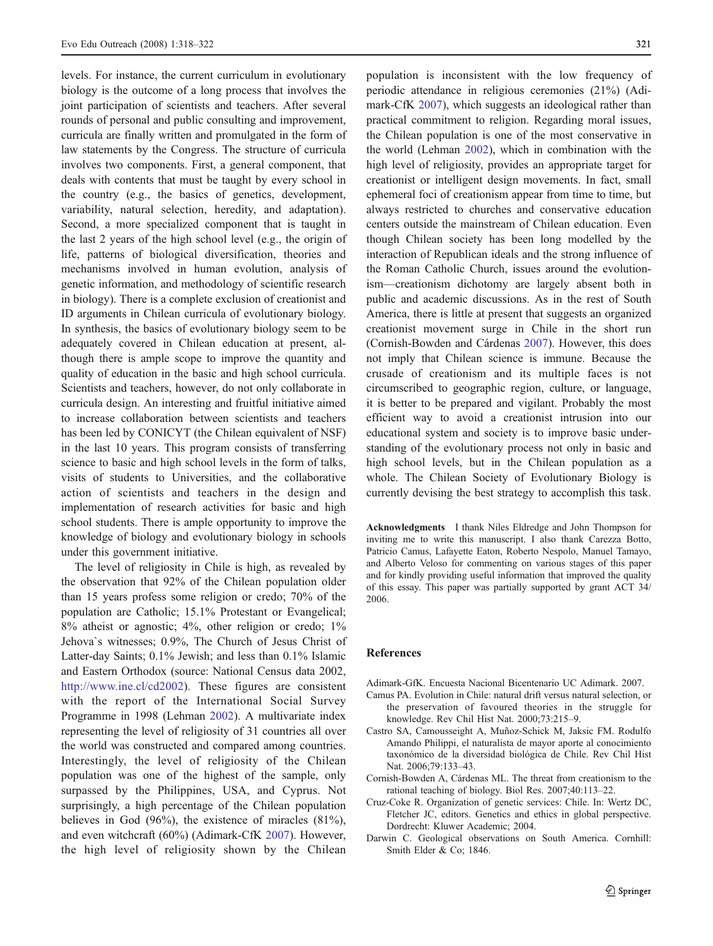<span id="page-3-0"></span>levels. For instance, the current curriculum in evolutionary biology is the outcome of a long process that involves the joint participation of scientists and teachers. After several rounds of personal and public consulting and improvement, curricula are finally written and promulgated in the form of law statements by the Congress. The structure of curricula involves two components. First, a general component, that deals with contents that must be taught by every school in the country (e.g., the basics of genetics, development, variability, natural selection, heredity, and adaptation). Second, a more specialized component that is taught in the last 2 years of the high school level (e.g., the origin of life, patterns of biological diversification, theories and mechanisms involved in human evolution, analysis of genetic information, and methodology of scientific research in biology). There is a complete exclusion of creationist and ID arguments in Chilean curricula of evolutionary biology. In synthesis, the basics of evolutionary biology seem to be adequately covered in Chilean education at present, although there is ample scope to improve the quantity and quality of education in the basic and high school curricula. Scientists and teachers, however, do not only collaborate in curricula design. An interesting and fruitful initiative aimed to increase collaboration between scientists and teachers has been led by CONICYT (the Chilean equivalent of NSF) in the last 10 years. This program consists of transferring science to basic and high school levels in the form of talks, visits of students to Universities, and the collaborative action of scientists and teachers in the design and implementation of research activities for basic and high school students. There is ample opportunity to improve the knowledge of biology and evolutionary biology in schools under this government initiative.

The level of religiosity in Chile is high, as revealed by the observation that 92% of the Chilean population older than 15 years profess some religion or credo; 70% of the population are Catholic; 15.1% Protestant or Evangelical; 8% atheist or agnostic; 4%, other religion or credo; 1% Jehova`s witnesses; 0.9%, The Church of Jesus Christ of Latter-day Saints; 0.1% Jewish; and less than 0.1% Islamic and Eastern Orthodox (source: National Census data 2002, <http://www.ine.cl/cd2002>). These figures are consistent with the report of the International Social Survey Programme in 1998 (Lehman [2002](#page-4-0)). A multivariate index representing the level of religiosity of 31 countries all over the world was constructed and compared among countries. Interestingly, the level of religiosity of the Chilean population was one of the highest of the sample, only surpassed by the Philippines, USA, and Cyprus. Not surprisingly, a high percentage of the Chilean population believes in God (96%), the existence of miracles (81%), and even witchcraft (60%) (Adimark-CfK 2007). However, the high level of religiosity shown by the Chilean

population is inconsistent with the low frequency of periodic attendance in religious ceremonies (21%) (Adimark-CfK 2007), which suggests an ideological rather than practical commitment to religion. Regarding moral issues, the Chilean population is one of the most conservative in the world (Lehman [2002](#page-4-0)), which in combination with the high level of religiosity, provides an appropriate target for creationist or intelligent design movements. In fact, small ephemeral foci of creationism appear from time to time, but always restricted to churches and conservative education centers outside the mainstream of Chilean education. Even though Chilean society has been long modelled by the interaction of Republican ideals and the strong influence of the Roman Catholic Church, issues around the evolutionism—creationism dichotomy are largely absent both in public and academic discussions. As in the rest of South America, there is little at present that suggests an organized creationist movement surge in Chile in the short run (Cornish-Bowden and Cárdenas 2007). However, this does not imply that Chilean science is immune. Because the crusade of creationism and its multiple faces is not circumscribed to geographic region, culture, or language, it is better to be prepared and vigilant. Probably the most efficient way to avoid a creationist intrusion into our educational system and society is to improve basic understanding of the evolutionary process not only in basic and high school levels, but in the Chilean population as a whole. The Chilean Society of Evolutionary Biology is currently devising the best strategy to accomplish this task.

Acknowledgments I thank Niles Eldredge and John Thompson for inviting me to write this manuscript. I also thank Carezza Botto, Patricio Camus, Lafayette Eaton, Roberto Nespolo, Manuel Tamayo, and Alberto Veloso for commenting on various stages of this paper and for kindly providing useful information that improved the quality of this essay. This paper was partially supported by grant ACT 34/ 2006.

#### References

- Adimark-GfK. Encuesta Nacional Bicentenario UC Adimark. 2007.
- Camus PA. Evolution in Chile: natural drift versus natural selection, or the preservation of favoured theories in the struggle for knowledge. Rev Chil Hist Nat. 2000;73:215–9.
- Castro SA, Camousseight A, Muñoz-Schick M, Jaksic FM. Rodulfo Amando Philippi, el naturalista de mayor aporte al conocimiento taxonómico de la diversidad biológica de Chile. Rev Chil Hist Nat. 2006;79:133–43.
- Cornish-Bowden A, Cárdenas ML. The threat from creationism to the rational teaching of biology. Biol Res. 2007;40:113–22.
- Cruz-Coke R. Organization of genetic services: Chile. In: Wertz DC, Fletcher JC, editors. Genetics and ethics in global perspective. Dordrecht: Kluwer Academic; 2004.
- Darwin C. Geological observations on South America. Cornhill: Smith Elder & Co; 1846.